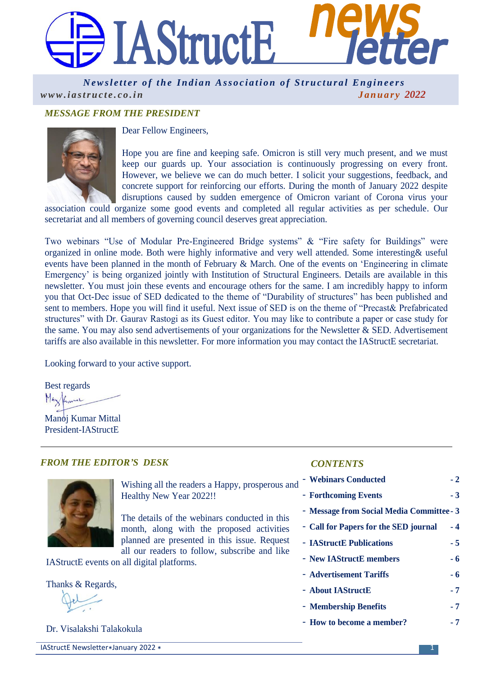

*Newsletter of the Indian Association of Structural Engineers [w w w . i a s t r u c t e . c o . i n](http://www.iastructe.co.in/) J a n u a r y 2022*

# *MESSAGE FROM THE PRESIDENT*



Dear Fellow Engineers,

Hope you are fine and keeping safe. Omicron is still very much present, and we must keep our guards up. Your association is continuously progressing on every front. However, we believe we can do much better. I solicit your suggestions, feedback, and concrete support for reinforcing our efforts. During the month of January 2022 despite disruptions caused by sudden emergence of Omicron variant of Corona virus your

association could organize some good events and completed all regular activities as per schedule. Our secretariat and all members of governing council deserves great appreciation.

Two webinars "Use of Modular Pre-Engineered Bridge systems" & "Fire safety for Buildings" were organized in online mode. Both were highly informative and very well attended. Some interesting& useful events have been planned in the month of February & March. One of the events on 'Engineering in climate Emergency' is being organized jointly with Institution of Structural Engineers. Details are available in this newsletter. You must join these events and encourage others for the same. I am incredibly happy to inform you that Oct-Dec issue of SED dedicated to the theme of "Durability of structures" has been published and sent to members. Hope you will find it useful. Next issue of SED is on the theme of "Precast& Prefabricated structures" with Dr. Gaurav Rastogi as its Guest editor. You may like to contribute a paper or case study for the same. You may also send advertisements of your organizations for the Newsletter & SED. Advertisement tariffs are also available in this newsletter. For more information you may contact the IAStructE secretariat.

Looking forward to your active support.

Best regards

Manoj Kumar Mittal President-IAStructE

| <b>FROM THE EDITOR'S DESK</b>              |                                                                                            | <b>CONTENTS</b>                           |      |
|--------------------------------------------|--------------------------------------------------------------------------------------------|-------------------------------------------|------|
|                                            | Wishing all the readers a Happy, prosperous and                                            | - Webinars Conducted                      | $-2$ |
|                                            | Healthy New Year 2022!!                                                                    | - Forthcoming Events                      | $-3$ |
|                                            |                                                                                            | - Message from Social Media Committee - 3 |      |
|                                            | The details of the webinars conducted in this<br>month, along with the proposed activities | - Call for Papers for the SED journal     | $-4$ |
|                                            | planned are presented in this issue. Request                                               | - <b>IAStructE</b> Publications           | $-5$ |
| IAStructE events on all digital platforms. | all our readers to follow, subscribe and like                                              | - New IAStructE members                   | - 6  |
|                                            |                                                                                            | - Advertisement Tariffs                   | - 6  |
| Thanks & Regards,                          | - About IAStructE                                                                          | - 7                                       |      |
|                                            |                                                                                            | - Membership Benefits                     | $-7$ |
|                                            |                                                                                            | - How to become a member?                 | - 7  |

Dr. Visalakshi Talakokula

IAStructE Newsletter\*January 2022 \* 1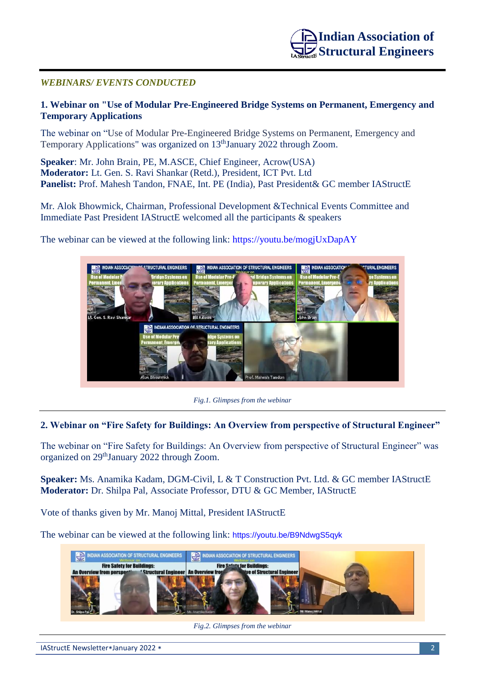# *WEBINARS/ EVENTS CONDUCTED*

# **1. Webinar on "Use of Modular Pre-Engineered Bridge Systems on Permanent, Emergency and Temporary Applications**

The webinar on "Use of Modular Pre-Engineered Bridge Systems on Permanent, Emergency and Temporary Applications" was organized on 13<sup>th</sup>January 2022 through Zoom.

**Speaker**: Mr. John Brain, PE, M.ASCE, Chief Engineer, Acrow(USA) **Moderator:** Lt. Gen. S. Ravi Shankar (Retd.), President, ICT Pvt. Ltd **Panelist:** Prof. Mahesh Tandon, FNAE, Int. PE (India), Past President& GC member IAStructE

Mr. Alok Bhowmick, Chairman, Professional Development &Technical Events Committee and Immediate Past President IAStructE welcomed all the participants & speakers

The webinar can be viewed at the following link:<https://youtu.be/mogjUxDapAY>



*Fig.1. Glimpses from the webinar*

## **2. Webinar on "Fire Safety for Buildings: An Overview from perspective of Structural Engineer"**

The webinar on "Fire Safety for Buildings: An Overview from perspective of Structural Engineer" was organized on 29thJanuary 2022 through Zoom.

**Speaker:** Ms. Anamika Kadam, DGM-Civil, L & T Construction Pvt. Ltd. & GC member IAStructE **Moderator:** Dr. Shilpa Pal, Associate Professor, DTU & GC Member, IAStructE

Vote of thanks given by Mr. Manoj Mittal, President IAStructE

The webinar can be viewed at the following link: <https://youtu.be/B9NdwgS5qyk>



*Fig.2. Glimpses from the webinar*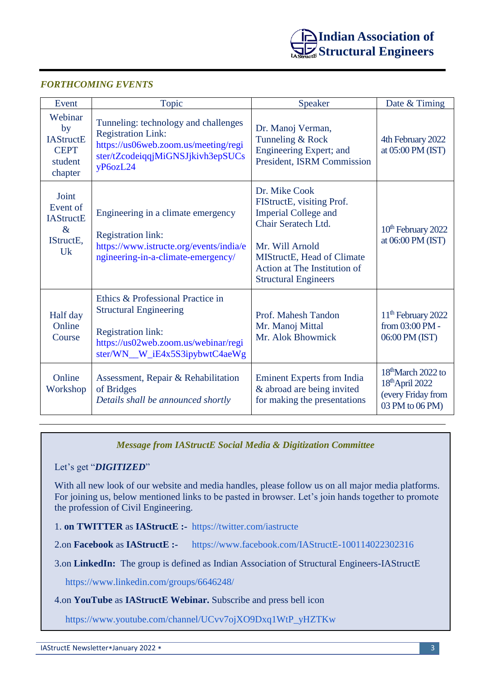

# *FORTHCOMING EVENTS*

| Event                                                                  | Topic                                                                                                                                                                    | Speaker                                                                                                                                                                                                          | Date & Timing                                                                                |
|------------------------------------------------------------------------|--------------------------------------------------------------------------------------------------------------------------------------------------------------------------|------------------------------------------------------------------------------------------------------------------------------------------------------------------------------------------------------------------|----------------------------------------------------------------------------------------------|
| Webinar<br>by<br><b>IAStructE</b><br><b>CEPT</b><br>student<br>chapter | Tunneling: technology and challenges<br><b>Registration Link:</b><br>https://us06web.zoom.us/meeting/regi<br>ster/tZcodeiqqjMiGNSJjkivh3epSUCs<br>yP6ozL24               | Dr. Manoj Verman,<br>Tunneling & Rock<br>Engineering Expert; and<br>President, ISRM Commission                                                                                                                   | 4th February 2022<br>at 05:00 PM (IST)                                                       |
| Joint<br>Event of<br><b>IAStructE</b><br>$\&$<br>IStructE.<br>Uk       | Engineering in a climate emergency<br><b>Registration link:</b><br>https://www.istructe.org/events/india/e<br>ngineering-in-a-climate-emergency/                         | Dr. Mike Cook<br>FIStructE, visiting Prof.<br><b>Imperial College and</b><br>Chair Seratech Ltd.<br>Mr. Will Arnold<br>MIStructE, Head of Climate<br>Action at The Institution of<br><b>Structural Engineers</b> | 10 <sup>th</sup> February 2022<br>at 06:00 PM (IST)                                          |
| Half day<br>Online<br>Course                                           | Ethics & Professional Practice in<br><b>Structural Engineering</b><br><b>Registration link:</b><br>https://us02web.zoom.us/webinar/regi<br>ster/WN_W_iE4x5S3ipybwtC4aeWg | Prof. Mahesh Tandon<br>Mr. Manoj Mittal<br>Mr. Alok Bhowmick                                                                                                                                                     | 11 <sup>th</sup> February 2022<br>from 03:00 PM -<br>06:00 PM (IST)                          |
| Online<br>Workshop                                                     | Assessment, Repair & Rehabilitation<br>of Bridges<br>Details shall be announced shortly                                                                                  | <b>Eminent Experts from India</b><br>& abroad are being invited<br>for making the presentations                                                                                                                  | 18 <sup>th</sup> March 2022 to<br>$18th$ April 2022<br>(every Friday from<br>03 PM to 06 PM) |

## *Message from IAStructE Social Media & Digitization Committee*

#### Let's get "*DIGITIZED*"

With all new look of our website and media handles, please follow us on all major media platforms. For joining us, below mentioned links to be pasted in browser. Let's join hands together to promote the profession of Civil Engineering.

1. **on TWITTER** as **IAStructE :-** <https://twitter.com/iastructe>

2.on **Facebook** as **IAStructE :-** <https://www.facebook.com/IAStructE-100114022302316>

3.on **LinkedIn:** The group is defined as Indian Association of Structural Engineers-IAStructE

<https://www.linkedin.com/groups/6646248/>

#### 4.on **YouTube** as **IAStructE Webinar.** Subscribe and press bell icon

[https://www.youtube.com/channel/UCvv7ojXO9Dxq1WtP\\_yHZTKw](https://www.youtube.com/channel/UCvv7ojXO9Dxq1WtP_yHZTKw)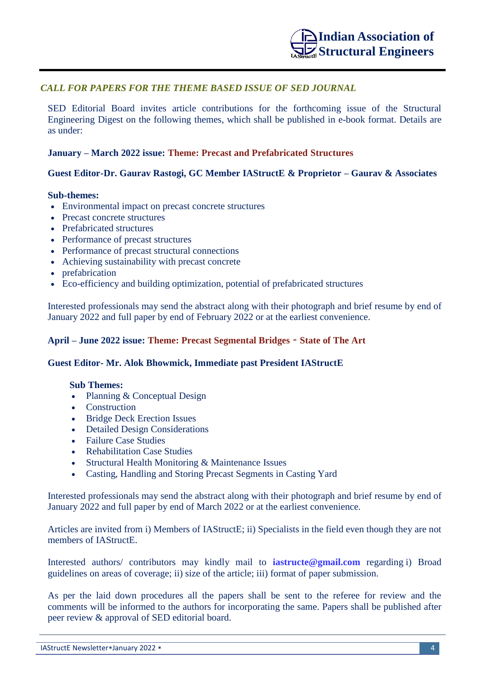# *CALL FOR PAPERS FOR THE THEME BASED ISSUE OF SED JOURNAL*

SED Editorial Board invites article contributions for the forthcoming issue of the Structural Engineering Digest on the following themes, which shall be published in e-book format. Details are as under:

### **January – March 2022 issue: Theme: Precast and Prefabricated Structures**

## **Guest Editor-Dr. Gaurav Rastogi, GC Member IAStructE & Proprietor – Gaurav & Associates**

#### **Sub-themes:**

- Environmental impact on precast concrete structures
- Precast concrete structures
- Prefabricated structures
- Performance of precast structures
- Performance of precast structural connections
- Achieving sustainability with precast concrete
- prefabrication
- Eco-efficiency and building optimization, potential of prefabricated structures

Interested professionals may send the abstract along with their photograph and brief resume by end of January 2022 and full paper by end of February 2022 or at the earliest convenience.

### **April – June 2022 issue: Theme: Precast Segmental Bridges** – **State of The Art**

#### **Guest Editor- Mr. Alok Bhowmick, Immediate past President IAStructE**

#### **Sub Themes:**

- Planning & Conceptual Design
- Construction
- Bridge Deck Erection Issues
- Detailed Design Considerations
- Failure Case Studies
- Rehabilitation Case Studies
- Structural Health Monitoring & Maintenance Issues
- Casting, Handling and Storing Precast Segments in Casting Yard

Interested professionals may send the abstract along with their photograph and brief resume by end of January 2022 and full paper by end of March 2022 or at the earliest convenience.

Articles are invited from i) Members of IAStructE; ii) Specialists in the field even though they are not members of IAStructE.

Interested authors/ contributors may kindly mail to **[iastructe@gmail.com](mailto:iastructe@gmail.com)** regarding i) Broad guidelines on areas of coverage; ii) size of the article; iii) format of paper submission.

As per the laid down procedures all the papers shall be sent to the referee for review and the comments will be informed to the authors for incorporating the same. Papers shall be published after peer review & approval of SED editorial board.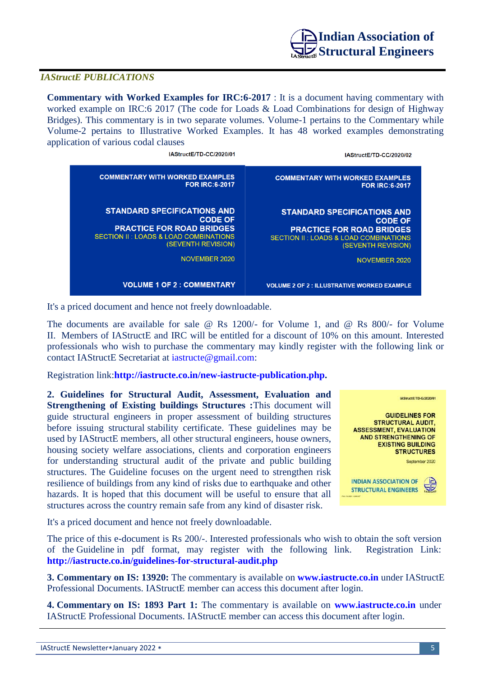

## *IAStructE PUBLICATIONS*

**Commentary with Worked Examples for IRC:6-2017** : It is a document having commentary with worked example on IRC:6 2017 (The code for Loads & Load Combinations for design of Highway Bridges). This commentary is in two separate volumes. Volume-1 pertains to the Commentary while Volume-2 pertains to Illustrative Worked Examples. It has 48 worked examples demonstrating application of various codal clauses

| IAStructE/TD-CC/2020/02                            | IAStructE/TD-CC/2020/01                          |
|----------------------------------------------------|--------------------------------------------------|
| <b>COMMENTARY WITH WORKED EXAMPLES</b>             | <b>COMMENTARY WITH WORKED EXAMPLES</b>           |
| <b>FOR IRC:6-2017</b>                              | <b>FOR IRC:6-2017</b>                            |
| <b>STANDARD SPECIFICATIONS AND</b>                 | <b>STANDARD SPECIFICATIONS AND</b>               |
| <b>CODE OF</b>                                     | <b>CODE OF</b>                                   |
| <b>PRACTICE FOR ROAD BRIDGES</b>                   | <b>PRACTICE FOR ROAD BRIDGES</b>                 |
| <b>SECTION II: LOADS &amp; LOAD COMBINATIONS</b>   | <b>SECTION II: LOADS &amp; LOAD COMBINATIONS</b> |
| (SEVENTH REVISION)                                 | (SEVENTH REVISION)                               |
| NOVEMBER 2020                                      | NOVEMBER 2020                                    |
| <b>VOLUME 2 OF 2 : ILLUSTRATIVE WORKED EXAMPLE</b> | <b>VOLUME 1 OF 2 : COMMENTARY</b>                |

It's a priced document and hence not freely downloadable.

The documents are available for sale @ Rs 1200/- for Volume 1, and @ Rs 800/- for Volume II. Members of IAStructE and IRC will be entitled for a discount of 10% on this amount. Interested professionals who wish to purchase the commentary may kindly register with the following link or contact IAStructE Secretariat at [iastructe@gmail.com:](mailto:iastructe@gmail.com)

Registration link:**[http://iastructe.co.in/new-iastructe-publication.php.](http://iastructe.co.in/new-iastructe-publication.php)**

**2. Guidelines for Structural Audit, Assessment, Evaluation and Strengthening of Existing buildings Structures :**This document will guide structural engineers in proper assessment of building structures before issuing structural stability certificate. These guidelines may be used by IAStructE members, all other structural engineers, house owners, housing society welfare associations, clients and corporation engineers for understanding structural audit of the private and public building structures. The Guideline focuses on the urgent need to strengthen risk resilience of buildings from any kind of risks due to earthquake and other hazards. It is hoped that this document will be useful to ensure that all structures across the country remain safe from any kind of disaster risk.



It's a priced document and hence not freely downloadable.

The price of this e-document is Rs 200/-. Interested professionals who wish to obtain the soft version of the Guideline in pdf format, may register with the following link. Registration Link: **<http://iastructe.co.in/guidelines-for-structural-audit.php>**

**3. Commentary on IS: 13920:** The commentary is available on **[www.iastructe.co.in](http://www.iastructe.co.in/)** under IAStructE Professional Documents. IAStructE member can access this document after login.

**4. Commentary on IS: 1893 Part 1:** The commentary is available on **[www.iastructe.co.in](http://www.iastructe.co.in/)** under IAStructE Professional Documents. IAStructE member can access this document after login.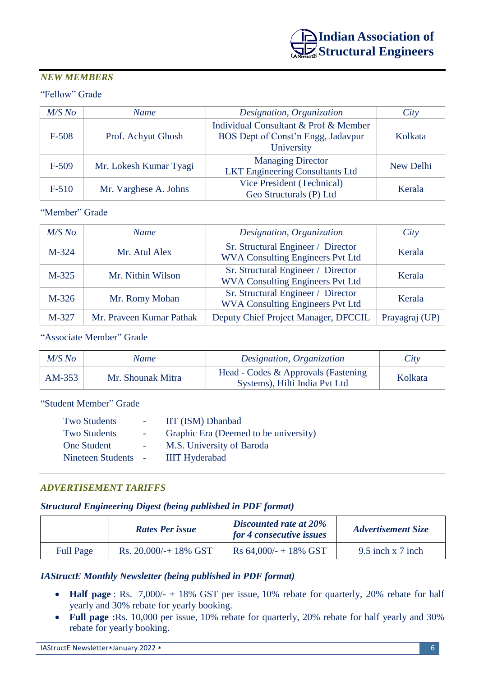# *NEW MEMBERS*

# "Fellow" Grade

| $M/S$ No | <b>Name</b>            | Designation, Organization                                                   | City      |
|----------|------------------------|-----------------------------------------------------------------------------|-----------|
| $F-508$  | Prof. Achyut Ghosh     | Individual Consultant & Prof & Member<br>BOS Dept of Const'n Engg, Jadavpur | Kolkata   |
|          |                        | University                                                                  |           |
| $F-509$  | Mr. Lokesh Kumar Tyagi | <b>Managing Director</b>                                                    | New Delhi |
|          |                        | <b>LKT Engineering Consultants Ltd</b>                                      |           |
| $F-510$  | Mr. Varghese A. Johns  | Vice President (Technical)                                                  | Kerala    |
|          |                        | Geo Structurals (P) Ltd                                                     |           |

"Member" Grade

| $M/S$ No | <b>Name</b>              | Designation, Organization                                                     | City           |
|----------|--------------------------|-------------------------------------------------------------------------------|----------------|
| $M-324$  | Mr. Atul Alex            | Sr. Structural Engineer / Director<br><b>WVA Consulting Engineers Pvt Ltd</b> | Kerala         |
| $M-325$  | Mr. Nithin Wilson        | Sr. Structural Engineer / Director<br><b>WVA Consulting Engineers Pvt Ltd</b> | Kerala         |
| $M-326$  | Mr. Romy Mohan           | Sr. Structural Engineer / Director<br><b>WVA Consulting Engineers Pvt Ltd</b> | Kerala         |
| M-327    | Mr. Praveen Kumar Pathak | Deputy Chief Project Manager, DFCCIL                                          | Prayagraj (UP) |

"Associate Member" Grade

| $M/S$ No | Name              | Designation, Organization                                             | City    |
|----------|-------------------|-----------------------------------------------------------------------|---------|
| $AM-353$ | Mr. Shounak Mitra | Head - Codes & Approvals (Fastening)<br>Systems), Hilti India Pvt Ltd | Kolkata |

"Student Member" Grade

| <b>Two Students</b> | IIT (ISM) Dhanbad                     |
|---------------------|---------------------------------------|
| <b>Two Students</b> | Graphic Era (Deemed to be university) |
| <b>One Student</b>  | M.S. University of Baroda             |
| Nineteen Students - | <b>IIIT Hyderabad</b>                 |
|                     |                                       |

# *ADVERTISEMENT TARIFFS*

## *Structural Engineering Digest (being published in PDF format)*

|                  | <b>Rates Per issue</b> | Discounted rate at 20%<br>for 4 consecutive issues | <b>Advertisement Size</b> |
|------------------|------------------------|----------------------------------------------------|---------------------------|
| <b>Full Page</b> | Rs. $20,000/+18\%$ GST | $\text{Rs } 64,000/ - + 18\% \text{ GST}$          | $9.5$ inch x 7 inch       |

# *IAStructE Monthly Newsletter (being published in PDF format)*

- **Half page** : Rs. 7,000/- + 18% GST per issue, 10% rebate for quarterly, 20% rebate for half yearly and 30% rebate for yearly booking.
- **Full page :**Rs. 10,000 per issue, 10% rebate for quarterly, 20% rebate for half yearly and 30% rebate for yearly booking.